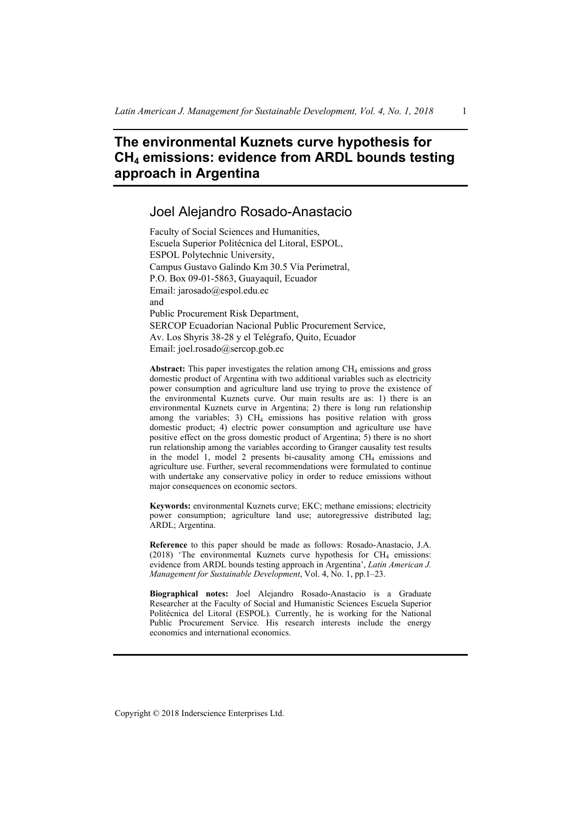# **The environmental Kuznets curve hypothesis for CH4 emissions: evidence from ARDL bounds testing approach in Argentina**

## Joel Alejandro Rosado-Anastacio

Faculty of Social Sciences and Humanities, Escuela Superior Politécnica del Litoral, ESPOL, ESPOL Polytechnic University, Campus Gustavo Galindo Km 30.5 Vía Perimetral, P.O. Box 09-01-5863, Guayaquil, Ecuador Email: jarosado@espol.edu.ec and Public Procurement Risk Department, SERCOP Ecuadorian Nacional Public Procurement Service, Av. Los Shyris 38-28 y el Telégrafo, Quito, Ecuador Email: joel.rosado@sercop.gob.ec

Abstract: This paper investigates the relation among  $CH_4$  emissions and gross domestic product of Argentina with two additional variables such as electricity power consumption and agriculture land use trying to prove the existence of the environmental Kuznets curve. Our main results are as: 1) there is an environmental Kuznets curve in Argentina; 2) there is long run relationship among the variables; 3)  $CH_4$  emissions has positive relation with gross domestic product; 4) electric power consumption and agriculture use have positive effect on the gross domestic product of Argentina; 5) there is no short run relationship among the variables according to Granger causality test results in the model 1, model 2 presents bi-causality among  $CH<sub>4</sub>$  emissions and agriculture use. Further, several recommendations were formulated to continue with undertake any conservative policy in order to reduce emissions without major consequences on economic sectors.

**Keywords:** environmental Kuznets curve; EKC; methane emissions; electricity power consumption; agriculture land use; autoregressive distributed lag; ARDL; Argentina.

**Reference** to this paper should be made as follows: Rosado-Anastacio, J.A. (2018) 'The environmental Kuznets curve hypothesis for  $CH_4$  emissions: evidence from ARDL bounds testing approach in Argentina', *Latin American J. Management for Sustainable Development*, Vol. 4, No. 1, pp.1–23.

**Biographical notes:** Joel Alejandro Rosado-Anastacio is a Graduate Researcher at the Faculty of Social and Humanistic Sciences Escuela Superior Politécnica del Litoral (ESPOL). Currently, he is working for the National Public Procurement Service. His research interests include the energy economics and international economics.

Copyright © 2018 Inderscience Enterprises Ltd.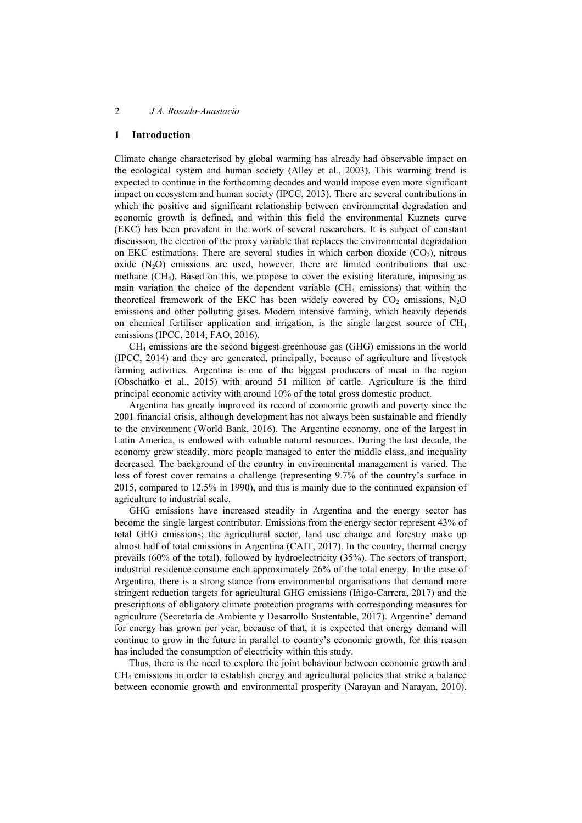#### **1 Introduction**

Climate change characterised by global warming has already had observable impact on the ecological system and human society (Alley et al., 2003). This warming trend is expected to continue in the forthcoming decades and would impose even more significant impact on ecosystem and human society (IPCC, 2013). There are several contributions in which the positive and significant relationship between environmental degradation and economic growth is defined, and within this field the environmental Kuznets curve (EKC) has been prevalent in the work of several researchers. It is subject of constant discussion, the election of the proxy variable that replaces the environmental degradation on EKC estimations. There are several studies in which carbon dioxide  $(CO<sub>2</sub>)$ , nitrous oxide  $(N_2O)$  emissions are used, however, there are limited contributions that use methane (CH4). Based on this, we propose to cover the existing literature, imposing as main variation the choice of the dependent variable  $(CH<sub>4</sub>$  emissions) that within the theoretical framework of the EKC has been widely covered by  $CO_2$  emissions, N<sub>2</sub>O emissions and other polluting gases. Modern intensive farming, which heavily depends on chemical fertiliser application and irrigation, is the single largest source of  $CH<sub>4</sub>$ emissions (IPCC, 2014; FAO, 2016).

 $CH<sub>4</sub>$  emissions are the second biggest greenhouse gas (GHG) emissions in the world (IPCC, 2014) and they are generated, principally, because of agriculture and livestock farming activities. Argentina is one of the biggest producers of meat in the region (Obschatko et al., 2015) with around 51 million of cattle. Agriculture is the third principal economic activity with around 10% of the total gross domestic product.

Argentina has greatly improved its record of economic growth and poverty since the 2001 financial crisis, although development has not always been sustainable and friendly to the environment (World Bank, 2016). The Argentine economy, one of the largest in Latin America, is endowed with valuable natural resources. During the last decade, the economy grew steadily, more people managed to enter the middle class, and inequality decreased. The background of the country in environmental management is varied. The loss of forest cover remains a challenge (representing 9.7% of the country's surface in 2015, compared to 12.5% in 1990), and this is mainly due to the continued expansion of agriculture to industrial scale.

GHG emissions have increased steadily in Argentina and the energy sector has become the single largest contributor. Emissions from the energy sector represent 43% of total GHG emissions; the agricultural sector, land use change and forestry make up almost half of total emissions in Argentina (CAIT, 2017). In the country, thermal energy prevails (60% of the total), followed by hydroelectricity (35%). The sectors of transport, industrial residence consume each approximately 26% of the total energy. In the case of Argentina, there is a strong stance from environmental organisations that demand more stringent reduction targets for agricultural GHG emissions (Iñigo-Carrera, 2017) and the prescriptions of obligatory climate protection programs with corresponding measures for agriculture (Secretaría de Ambiente y Desarrollo Sustentable, 2017). Argentine' demand for energy has grown per year, because of that, it is expected that energy demand will continue to grow in the future in parallel to country's economic growth, for this reason has included the consumption of electricity within this study.

Thus, there is the need to explore the joint behaviour between economic growth and  $CH<sub>4</sub>$  emissions in order to establish energy and agricultural policies that strike a balance between economic growth and environmental prosperity (Narayan and Narayan, 2010).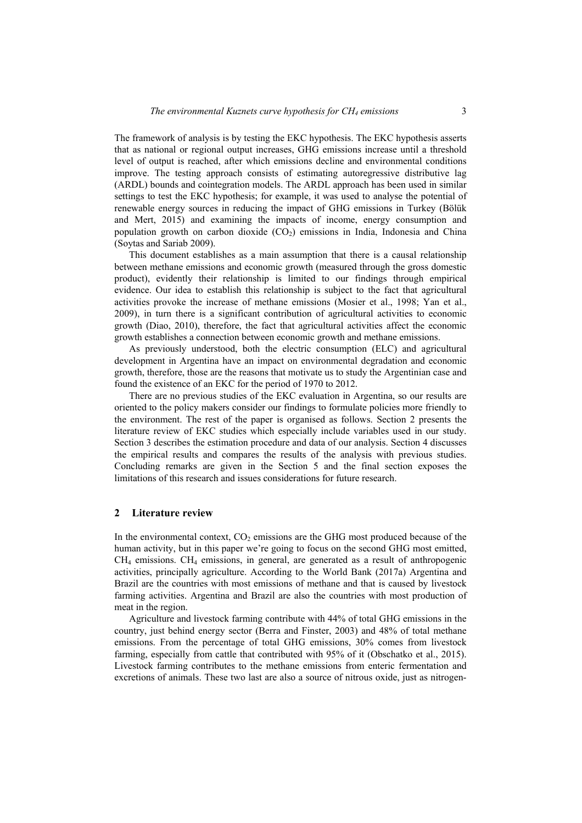The framework of analysis is by testing the EKC hypothesis. The EKC hypothesis asserts that as national or regional output increases, GHG emissions increase until a threshold level of output is reached, after which emissions decline and environmental conditions improve. The testing approach consists of estimating autoregressive distributive lag (ARDL) bounds and cointegration models. The ARDL approach has been used in similar settings to test the EKC hypothesis; for example, it was used to analyse the potential of renewable energy sources in reducing the impact of GHG emissions in Turkey (Bölük and Mert, 2015) and examining the impacts of income, energy consumption and population growth on carbon dioxide  $(CO<sub>2</sub>)$  emissions in India, Indonesia and China (Soytas and Sariab 2009).

This document establishes as a main assumption that there is a causal relationship between methane emissions and economic growth (measured through the gross domestic product), evidently their relationship is limited to our findings through empirical evidence. Our idea to establish this relationship is subject to the fact that agricultural activities provoke the increase of methane emissions (Mosier et al., 1998; Yan et al., 2009), in turn there is a significant contribution of agricultural activities to economic growth (Diao, 2010), therefore, the fact that agricultural activities affect the economic growth establishes a connection between economic growth and methane emissions.

As previously understood, both the electric consumption (ELC) and agricultural development in Argentina have an impact on environmental degradation and economic growth, therefore, those are the reasons that motivate us to study the Argentinian case and found the existence of an EKC for the period of 1970 to 2012.

There are no previous studies of the EKC evaluation in Argentina, so our results are oriented to the policy makers consider our findings to formulate policies more friendly to the environment. The rest of the paper is organised as follows. Section 2 presents the literature review of EKC studies which especially include variables used in our study. Section 3 describes the estimation procedure and data of our analysis. Section 4 discusses the empirical results and compares the results of the analysis with previous studies. Concluding remarks are given in the Section 5 and the final section exposes the limitations of this research and issues considerations for future research.

#### **2 Literature review**

In the environmental context,  $CO<sub>2</sub>$  emissions are the GHG most produced because of the human activity, but in this paper we're going to focus on the second GHG most emitted, CH4 emissions. CH4 emissions, in general, are generated as a result of anthropogenic activities, principally agriculture. According to the World Bank (2017a) Argentina and Brazil are the countries with most emissions of methane and that is caused by livestock farming activities. Argentina and Brazil are also the countries with most production of meat in the region.

Agriculture and livestock farming contribute with 44% of total GHG emissions in the country, just behind energy sector (Berra and Finster, 2003) and 48% of total methane emissions. From the percentage of total GHG emissions, 30% comes from livestock farming, especially from cattle that contributed with 95% of it (Obschatko et al., 2015). Livestock farming contributes to the methane emissions from enteric fermentation and excretions of animals. These two last are also a source of nitrous oxide, just as nitrogen-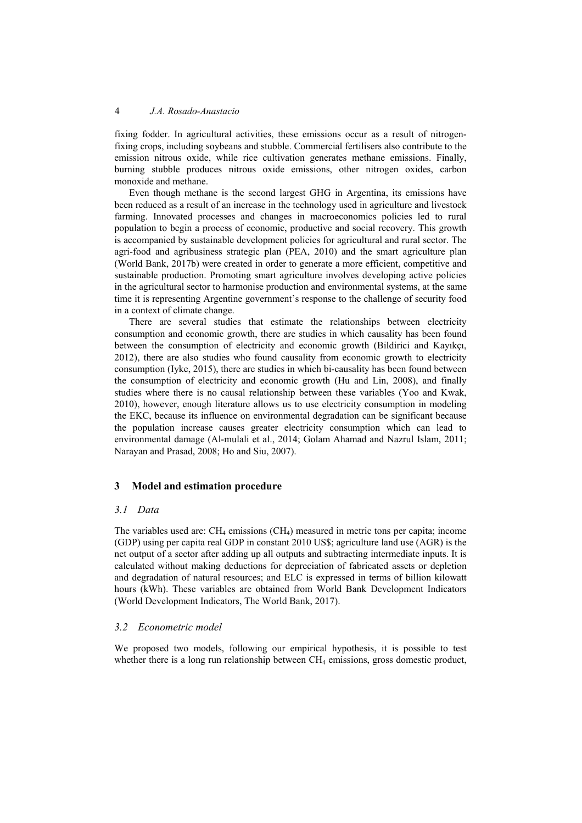fixing fodder. In agricultural activities, these emissions occur as a result of nitrogenfixing crops, including soybeans and stubble. Commercial fertilisers also contribute to the emission nitrous oxide, while rice cultivation generates methane emissions. Finally, burning stubble produces nitrous oxide emissions, other nitrogen oxides, carbon monoxide and methane.

Even though methane is the second largest GHG in Argentina, its emissions have been reduced as a result of an increase in the technology used in agriculture and livestock farming. Innovated processes and changes in macroeconomics policies led to rural population to begin a process of economic, productive and social recovery. This growth is accompanied by sustainable development policies for agricultural and rural sector. The agri-food and agribusiness strategic plan (PEA, 2010) and the smart agriculture plan (World Bank, 2017b) were created in order to generate a more efficient, competitive and sustainable production. Promoting smart agriculture involves developing active policies in the agricultural sector to harmonise production and environmental systems, at the same time it is representing Argentine government's response to the challenge of security food in a context of climate change.

There are several studies that estimate the relationships between electricity consumption and economic growth, there are studies in which causality has been found between the consumption of electricity and economic growth (Bildirici and Kayıkçı, 2012), there are also studies who found causality from economic growth to electricity consumption (Iyke, 2015), there are studies in which bi-causality has been found between the consumption of electricity and economic growth (Hu and Lin, 2008), and finally studies where there is no causal relationship between these variables (Yoo and Kwak, 2010), however, enough literature allows us to use electricity consumption in modeling the EKC, because its influence on environmental degradation can be significant because the population increase causes greater electricity consumption which can lead to environmental damage (Al-mulali et al., 2014; Golam Ahamad and Nazrul Islam, 2011; Narayan and Prasad, 2008; Ho and Siu, 2007).

## **3 Model and estimation procedure**

#### *3.1 Data*

The variables used are:  $CH_4$  emissions  $(CH_4)$  measured in metric tons per capita; income (GDP) using per capita real GDP in constant 2010 US\$; agriculture land use (AGR) is the net output of a sector after adding up all outputs and subtracting intermediate inputs. It is calculated without making deductions for depreciation of fabricated assets or depletion and degradation of natural resources; and ELC is expressed in terms of billion kilowatt hours (kWh). These variables are obtained from World Bank Development Indicators (World Development Indicators, The World Bank, 2017).

#### *3.2 Econometric model*

We proposed two models, following our empirical hypothesis, it is possible to test whether there is a long run relationship between  $CH_4$  emissions, gross domestic product,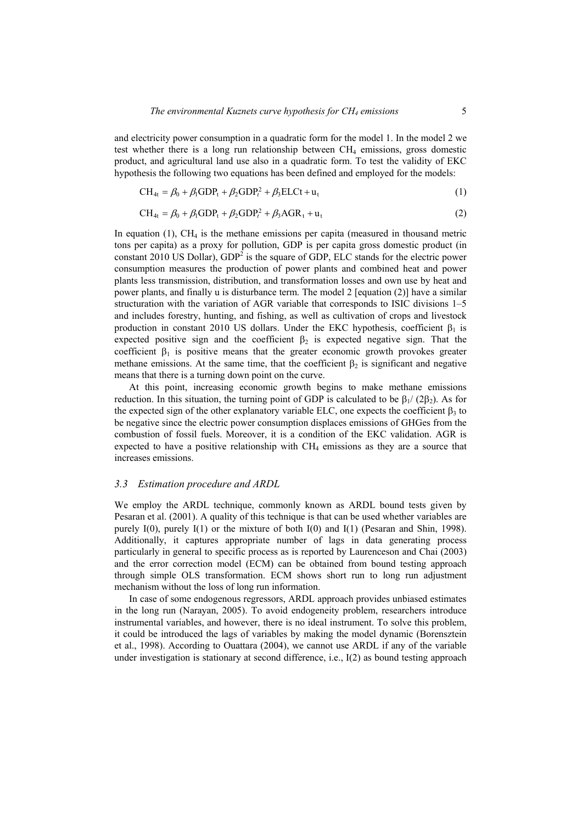and electricity power consumption in a quadratic form for the model 1. In the model 2 we test whether there is a long run relationship between  $CH_4$  emissions, gross domestic product, and agricultural land use also in a quadratic form. To test the validity of EKC hypothesis the following two equations has been defined and employed for the models:

$$
CH_{4t} = \beta_0 + \beta_1 GDP_t + \beta_2 GDP_t^2 + \beta_3 ELC t + u_t
$$
\n(1)

$$
CH_{4t} = \beta_0 + \beta_1 GDP_t + \beta_2 GDP_t^2 + \beta_3 AGR_t + u_t
$$
\n(2)

In equation (1),  $CH<sub>4</sub>$  is the methane emissions per capita (measured in thousand metric tons per capita) as a proxy for pollution, GDP is per capita gross domestic product (in constant 2010 US Dollar),  $GDP<sup>2</sup>$  is the square of GDP, ELC stands for the electric power consumption measures the production of power plants and combined heat and power plants less transmission, distribution, and transformation losses and own use by heat and power plants, and finally u is disturbance term. The model 2 [equation (2)] have a similar structuration with the variation of AGR variable that corresponds to ISIC divisions 1–5 and includes forestry, hunting, and fishing, as well as cultivation of crops and livestock production in constant 2010 US dollars. Under the EKC hypothesis, coefficient  $\beta_1$  is expected positive sign and the coefficient  $\beta_2$  is expected negative sign. That the coefficient  $\beta_1$  is positive means that the greater economic growth provokes greater methane emissions. At the same time, that the coefficient  $\beta_2$  is significant and negative means that there is a turning down point on the curve.

At this point, increasing economic growth begins to make methane emissions reduction. In this situation, the turning point of GDP is calculated to be  $\beta_1$ / (2 $\beta_2$ ). As for the expected sign of the other explanatory variable ELC, one expects the coefficient  $\beta_3$  to be negative since the electric power consumption displaces emissions of GHGes from the combustion of fossil fuels. Moreover, it is a condition of the EKC validation. AGR is expected to have a positive relationship with CH<sub>4</sub> emissions as they are a source that increases emissions.

#### *3.3 Estimation procedure and ARDL*

We employ the ARDL technique, commonly known as ARDL bound tests given by Pesaran et al. (2001). A quality of this technique is that can be used whether variables are purely I(0), purely I(1) or the mixture of both I(0) and I(1) (Pesaran and Shin, 1998). Additionally, it captures appropriate number of lags in data generating process particularly in general to specific process as is reported by Laurenceson and Chai (2003) and the error correction model (ECM) can be obtained from bound testing approach through simple OLS transformation. ECM shows short run to long run adjustment mechanism without the loss of long run information.

In case of some endogenous regressors, ARDL approach provides unbiased estimates in the long run (Narayan, 2005). To avoid endogeneity problem, researchers introduce instrumental variables, and however, there is no ideal instrument. To solve this problem, it could be introduced the lags of variables by making the model dynamic (Borensztein et al., 1998). According to Ouattara (2004), we cannot use ARDL if any of the variable under investigation is stationary at second difference, i.e., I(2) as bound testing approach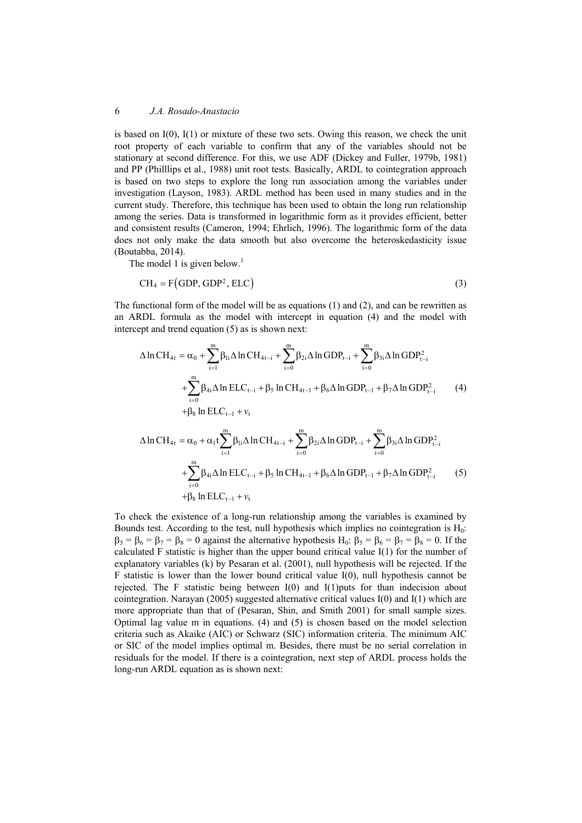is based on I(0), I(1) or mixture of these two sets. Owing this reason, we check the unit root property of each variable to confirm that any of the variables should not be stationary at second difference. For this, we use ADF (Dickey and Fuller, 1979b, 1981) and PP (Philllips et al., 1988) unit root tests. Basically, ARDL to cointegration approach is based on two steps to explore the long run association among the variables under investigation (Layson, 1983). ARDL method has been used in many studies and in the current study. Therefore, this technique has been used to obtain the long run relationship among the series. Data is transformed in logarithmic form as it provides efficient, better and consistent results (Cameron, 1994; Ehrlich, 1996). The logarithmic form of the data does not only make the data smooth but also overcome the heteroskedasticity issue (Boutabba, 2014).

The model 1 is given below.<sup>1</sup>

$$
CH_4 = F(GDP, GDP^2, ELC)
$$
 (3)

The functional form of the model will be as equations (1) and (2), and can be rewritten as an ARDL formula as the model with intercept in equation (4) and the model with intercept and trend equation (5) as is shown next:

$$
\Delta \ln CH_{4t} = \alpha_0 + \sum_{i=1}^{m} \beta_{1i} \Delta \ln CH_{4t-i} + \sum_{i=0}^{m} \beta_{2i} \Delta \ln GDP_{t-i} + \sum_{i=0}^{m} \beta_{3i} \Delta \ln GDP_{t-i} + \sum_{i=0}^{m} \beta_{4i} \Delta \ln ELC_{t-i} + \beta_5 \ln CH_{4t-1} + \beta_6 \Delta \ln GDP_{t-1} + \beta_7 \Delta \ln GDP_{t-i}^2 \qquad (4)
$$
  
+  $\beta_8 \ln ELC_{t-1} + \nu_t$   

$$
\Delta \ln CH_{4t} = \alpha_0 + \alpha_1 t \sum_{i=1}^{m} \beta_{1i} \Delta \ln CH_{4t-i} + \sum_{i=0}^{m} \beta_{2i} \Delta \ln GDP_{t-i} + \sum_{i=0}^{m} \beta_{3i} \Delta \ln GDP_{t-i}^2 + \sum_{i=0}^{m} \beta_{4i} \Delta \ln ELC_{t-i} + \beta_5 \ln CH_{4t-1} + \beta_6 \Delta \ln GDP_{t-1} + \beta_7 \Delta \ln GDP_{t-i}^2 \qquad (5)
$$
  
+  $\beta_8 \ln ELC_{t-1} + \nu_t$ 

To check the existence of a long-run relationship among the variables is examined by  
Bounds test. According to the test, null hypothesis which implies no cointegration is H<sub>0</sub>:  

$$
\beta_5 = \beta_6 = \beta_7 = \beta_8 = 0
$$
 against the alternative hypothesis H<sub>0</sub>:  $\beta_5 = \beta_6 = \beta_7 = \beta_8 = 0$ . If the  
calculated F statistic is higher than the upper bound critical value I(1) for the number of  
explanatory variables (k) by Pesaran et al. (2001), null hypothesis will be rejected. If the  
F statistic is lower than the lower bound critical value I(0), null hypothesis cannot be  
rejected. The F statistic being between I(0) and I(1)puts for than indecision about  
cointegration. Narayan (2005) suggested alternative critical values I(0) and I(1) which are  
more appropriate than that of (Pesaran, Shin, and Smith 2001) for small sample sizes.  
Optimal lag value m in equations. (4) and (5) is chosen based on the model selection  
criteria such as Akaike (AIC) or Schwarz (SIC) information criteria. The minimum AIC  
or SIC of the model implies optimal m. Besides, there must be no serial correlation in  
residuals for the model. If there is a cointegration, next step of ARDL process holds the  
long-run ARDL equation as is shown next: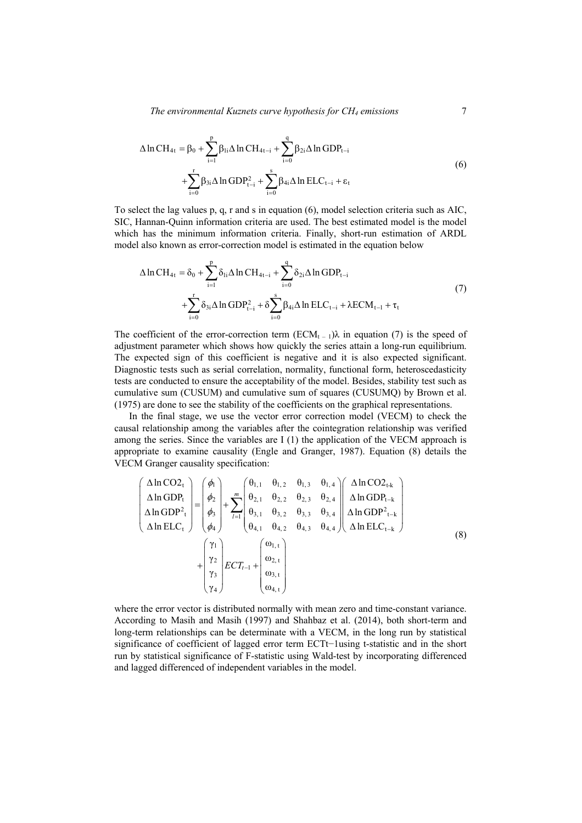*The environmental Kuznets curve hypothesis for CH4 emissions* 7

$$
\Delta \ln CH_{4t} = \beta_0 + \sum_{i=1}^{p} \beta_{1i} \Delta \ln CH_{4t-i} + \sum_{i=0}^{q} \beta_{2i} \Delta \ln GDP_{t-i} + \sum_{i=0}^{r} \beta_{3i} \Delta \ln GDP_{t-i} + \sum_{i=0}^{s} \beta_{4i} \Delta \ln ELC_{t-i} + \epsilon_t
$$
\n(6)

To select the lag values p, q, r and s in equation (6), model selection criteria such as AIC, SIC, Hannan-Quinn information criteria are used. The best estimated model is the model which has the minimum information criteria. Finally, short-run estimation of ARDL model also known as error-correction model is estimated in the equation below

$$
\Delta \ln CH_{4t} = \delta_0 + \sum_{i=1}^{p} \delta_{1i} \Delta \ln CH_{4t-i} + \sum_{i=0}^{q} \delta_{2i} \Delta \ln GDP_{t-i} + \sum_{i=0}^{r} \delta_{3i} \Delta \ln GDP_{t-i} + \delta \sum_{i=0}^{s} \beta_{4i} \Delta \ln ELC_{t-i} + \lambda ECM_{t-1} + \tau_t
$$
\n(7)

The coefficient of the error-correction term  $(ECM_{t-1})\lambda$  in equation (7) is the speed of adjustment parameter which shows how quickly the series attain a long-run equilibrium. The expected sign of this coefficient is negative and it is also expected significant. Diagnostic tests such as serial correlation, normality, functional form, heteroscedasticity tests are conducted to ensure the acceptability of the model. Besides, stability test such as cumulative sum (CUSUM) and cumulative sum of squares (CUSUMQ) by Brown et al. (1975) are done to see the stability of the coefficients on the graphical representations.

In the final stage, we use the vector error correction model (VECM) to check the causal relationship among the variables after the cointegration relationship was verified among the series. Since the variables are I (1) the application of the VECM approach is appropriate to examine causality (Engle and Granger, 1987). Equation (8) details the VECM Granger causality specification:

$$
\begin{pmatrix}\n\Delta \ln \text{CO2}_{t} \\
\Delta \ln \text{GDP}_{t} \\
\Delta \ln \text{GDP}_{t}^2 \\
\Delta \ln \text{ELC}_{t}\n\end{pmatrix} = \begin{pmatrix}\n\phi_{1} \\
\phi_{2} \\
\phi_{3} \\
\phi_{4}\n\end{pmatrix} + \sum_{l=1}^{m} \begin{pmatrix}\n\theta_{1,1} & \theta_{1,2} & \theta_{1,3} & \theta_{1,4} \\
\theta_{2,1} & \theta_{2,2} & \theta_{2,3} & \theta_{2,4} \\
\theta_{3,1} & \theta_{3,2} & \theta_{3,3} & \theta_{3,4} \\
\theta_{4,1} & \theta_{4,2} & \theta_{4,3} & \theta_{4,4}\n\end{pmatrix} \begin{pmatrix}\n\Delta \ln \text{GDP}_{t-k} \\
\Delta \ln \text{GDP}_{t-k}^2 \\
\Delta \ln \text{ELC}_{t-k}\n\end{pmatrix}
$$
\n
$$
+ \begin{pmatrix}\n\gamma_{1} \\
\gamma_{2} \\
\gamma_{3} \\
\gamma_{4}\n\end{pmatrix} ECT_{l-1} + \begin{pmatrix}\n\omega_{1,t} \\
\omega_{2,t} \\
\omega_{3,t} \\
\omega_{4,t}\n\end{pmatrix}
$$
\n(8)

where the error vector is distributed normally with mean zero and time-constant variance. According to Masih and Masih (1997) and Shahbaz et al. (2014), both short-term and long-term relationships can be determinate with a VECM, in the long run by statistical significance of coefficient of lagged error term ECTt−1using t-statistic and in the short run by statistical significance of F-statistic using Wald-test by incorporating differenced and lagged differenced of independent variables in the model.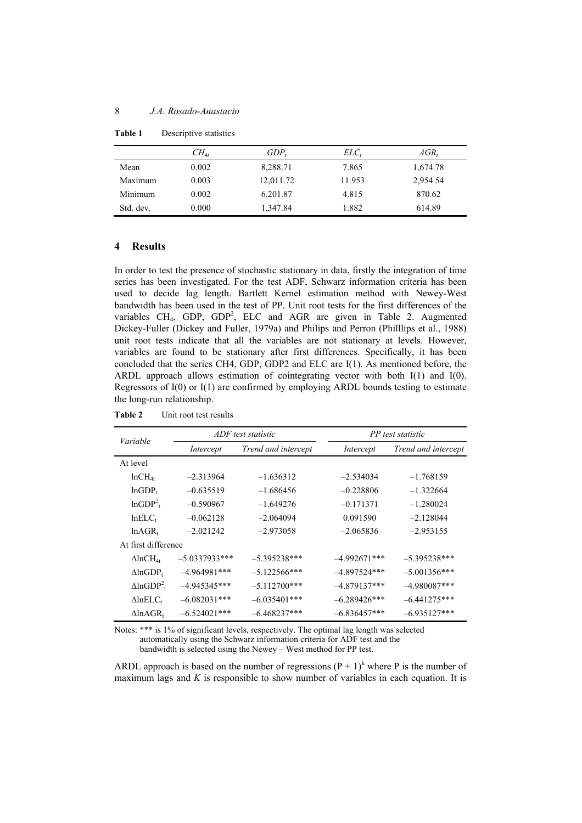**Table 1** Descriptive statistics

|           | $CH_{4t}$ | $GDP_t$   | $ELC_t$ | $AGR_t$  |
|-----------|-----------|-----------|---------|----------|
| Mean      | 0.002     | 8,288.71  | 7.865   | 1,674.78 |
| Maximum   | 0.003     | 12,011.72 | 11.953  | 2,954.54 |
| Minimum   | 0.002     | 6,201.87  | 4.815   | 870.62   |
| Std. dev. | 0.000     | 1.347.84  | 1.882   | 614.89   |

#### **4 Results**

In order to test the presence of stochastic stationary in data, firstly the integration of time series has been investigated. For the test ADF, Schwarz information criteria has been used to decide lag length. Bartlett Kernel estimation method with Newey-West bandwidth has been used in the test of PP. Unit root tests for the first differences of the variables  $CH_4$ , GDP, GDP<sup>2</sup>, ELC and AGR are given in Table 2. Augmented Dickey-Fuller (Dickey and Fuller, 1979a) and Philips and Perron (Philllips et al., 1988) unit root tests indicate that all the variables are not stationary at levels. However, variables are found to be stationary after first differences. Specifically, it has been concluded that the series CH4, GDP, GDP2 and ELC are I(1). As mentioned before, the ARDL approach allows estimation of cointegrating vector with both I(1) and I(0). Regressors of I(0) or I(1) are confirmed by employing ARDL bounds testing to estimate the long-run relationship.

**Table 2** Unit root test results

| Variable                                 |                 | <i>ADF</i> test statistic |                | PP test statistic   |
|------------------------------------------|-----------------|---------------------------|----------------|---------------------|
|                                          | Intercept       | Trend and intercept       | Intercept      | Trend and intercept |
| At level                                 |                 |                           |                |                     |
| $lnCH_{4t}$                              | $-2.313964$     | $-1.636312$               | $-2.534034$    | $-1.768159$         |
| $lnGDP_t$                                | $-0.635519$     | $-1.686456$               | $-0.228806$    | $-1.322664$         |
| lnGDP <sup>2</sup>                       | $-0.590967$     | $-1.649276$               | $-0.171371$    | $-1.280024$         |
| lnELC <sub>t</sub>                       | $-0.062128$     | $-2.064094$               | 0.091590       | $-2.128044$         |
| $lnAGR_t$                                | $-2.021242$     | $-2.973058$               | $-2.065836$    | $-2.953155$         |
| At first difference                      |                 |                           |                |                     |
| $\Delta$ lnCH <sub>4t</sub>              | $-5.0337933***$ | $-5.395238***$            | $-4.992671***$ | $-5.395238***$      |
| $\Delta$ lnGDP <sub>t</sub>              | $-4.964981***$  | $-5.122566***$            | $-4.897524***$ | $-5.001356***$      |
| $\Delta$ lnGDP <sup>2</sup> <sub>t</sub> | $-4.945345***$  | $-5.112700$ ***           | $-4.879137***$ | $-4.980087***$      |
| $\triangle$ InELC <sub>t</sub>           | $-6.082031***$  | $-6.035401***$            | $-6.289426***$ | $-6.441275***$      |
| $\Delta$ ln $AGR_t$                      | $-6.524021$ *** | $-6.468237***$            | $-6.836457***$ | $-6.935127***$      |

Notes: \*\*\* is 1% of significant levels, respectively. The optimal lag length was selected automatically using the Schwarz information criteria for ADF test and the bandwidth is selected using the Newey – West method for PP test.

ARDL approach is based on the number of regressions  $(P + 1)^k$  where P is the number of maximum lags and *K* is responsible to show number of variables in each equation. It is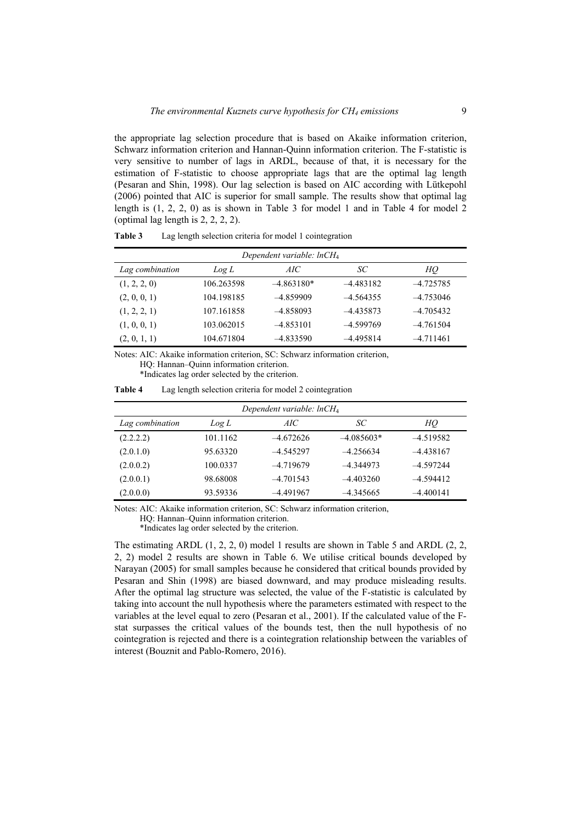the appropriate lag selection procedure that is based on Akaike information criterion, Schwarz information criterion and Hannan-Quinn information criterion. The F-statistic is very sensitive to number of lags in ARDL, because of that, it is necessary for the estimation of F-statistic to choose appropriate lags that are the optimal lag length (Pesaran and Shin, 1998). Our lag selection is based on AIC according with Lütkepohl (2006) pointed that AIC is superior for small sample. The results show that optimal lag length is (1, 2, 2, 0) as is shown in Table 3 for model 1 and in Table 4 for model 2 (optimal lag length is 2, 2, 2, 2).

**Table 3** Lag length selection criteria for model 1 cointegration

| Dependent variable: $lnCH4$ |            |              |             |             |  |  |  |
|-----------------------------|------------|--------------|-------------|-------------|--|--|--|
| Lag combination             | Log L      | AIC.         | SС          | HQ          |  |  |  |
| (1, 2, 2, 0)                | 106.263598 | $-4.863180*$ | $-4.483182$ | $-4.725785$ |  |  |  |
| (2, 0, 0, 1)                | 104.198185 | $-4.859909$  | $-4.564355$ | $-4.753046$ |  |  |  |
| (1, 2, 2, 1)                | 107.161858 | $-4.858093$  | $-4.435873$ | $-4.705432$ |  |  |  |
| (1, 0, 0, 1)                | 103.062015 | $-4.853101$  | $-4.599769$ | $-4.761504$ |  |  |  |
| (2, 0, 1, 1)                | 104.671804 | $-4.833590$  | $-4.495814$ | $-4.711461$ |  |  |  |

Notes: AIC: Akaike information criterion, SC: Schwarz information criterion,

HQ: Hannan–Quinn information criterion.

\*Indicates lag order selected by the criterion.

| тани т<br>Lag rengin selection criteria for moder 2 conflegration |                                       |             |              |             |  |  |  |
|-------------------------------------------------------------------|---------------------------------------|-------------|--------------|-------------|--|--|--|
|                                                                   | Dependent variable: lnCH <sub>4</sub> |             |              |             |  |  |  |
| Lag combination                                                   | Log L                                 | AIC         | SС           | HQ          |  |  |  |
| (2.2.2.2)                                                         | 101.1162                              | $-4.672626$ | $-4.085603*$ | $-4.519582$ |  |  |  |
| (2.0.1.0)                                                         | 95.63320                              | $-4.545297$ | $-4.256634$  | $-4.438167$ |  |  |  |
| (2.0.0.2)                                                         | 100.0337                              | $-4.719679$ | $-4.344973$  | $-4.597244$ |  |  |  |
| (2.0.0.1)                                                         | 98.68008                              | $-4.701543$ | $-4.403260$  | $-4.594412$ |  |  |  |
| (2.0.0.0)                                                         | 93.59336                              | $-4.491967$ | $-4.345665$  | $-4.400141$ |  |  |  |

**Table 4** Lag length selection criteria for model 2 cointegration

Notes: AIC: Akaike information criterion, SC: Schwarz information criterion,

HQ: Hannan–Quinn information criterion.

\*Indicates lag order selected by the criterion.

The estimating ARDL  $(1, 2, 2, 0)$  model 1 results are shown in Table 5 and ARDL  $(2, 2, 3)$ 2, 2) model 2 results are shown in Table 6. We utilise critical bounds developed by Narayan (2005) for small samples because he considered that critical bounds provided by Pesaran and Shin (1998) are biased downward, and may produce misleading results. After the optimal lag structure was selected, the value of the F-statistic is calculated by taking into account the null hypothesis where the parameters estimated with respect to the variables at the level equal to zero (Pesaran et al., 2001). If the calculated value of the Fstat surpasses the critical values of the bounds test, then the null hypothesis of no cointegration is rejected and there is a cointegration relationship between the variables of interest (Bouznit and Pablo-Romero, 2016).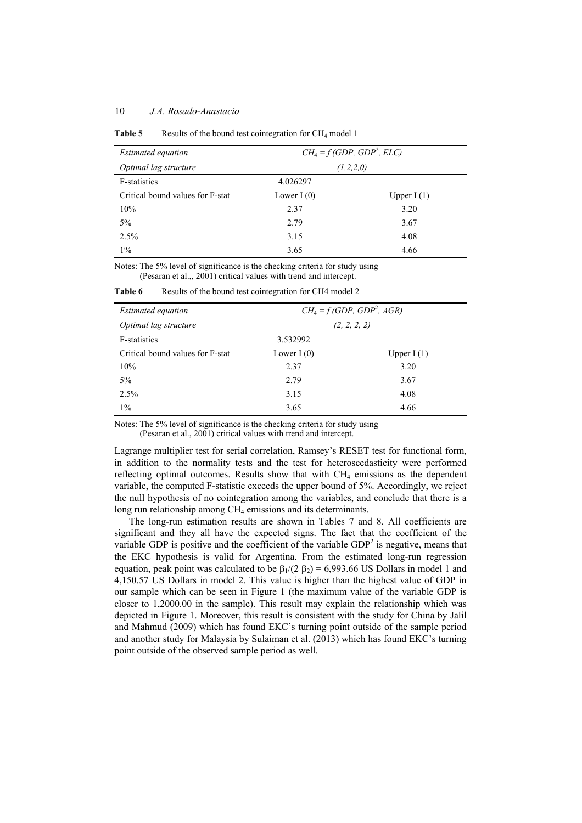| Estimated equation               |              | $CH_4 = f(GDP, GDP^2, ELC)$ |
|----------------------------------|--------------|-----------------------------|
| Optimal lag structure            |              | (1,2,2,0)                   |
| F-statistics                     | 4.026297     |                             |
| Critical bound values for F-stat | Lower $I(0)$ | Upper $I(1)$                |
| 10%                              | 2.37         | 3.20                        |
| $5\%$                            | 2.79         | 3.67                        |
| 2.5%                             | 3.15         | 4.08                        |
| $1\%$                            | 3.65         | 4.66                        |

Table 5 Results of the bound test cointegration for CH<sub>4</sub> model 1

Notes: The 5% level of significance is the checking criteria for study using (Pesaran et al.,, 2001) critical values with trend and intercept.

| Estimated equation               |              | $CH_4 = f(GDP, GDP^2, AGR)$ |
|----------------------------------|--------------|-----------------------------|
| Optimal lag structure            |              | (2, 2, 2, 2)                |
| F-statistics                     | 3.532992     |                             |
| Critical bound values for F-stat | Lower $I(0)$ | Upper $I(1)$                |
| 10%                              | 2.37         | 3.20                        |
| $5\%$                            | 2.79         | 3.67                        |
| 2.5%                             | 3.15         | 4.08                        |
| $1\%$                            | 3.65         | 4.66                        |

**Table 6** Results of the bound test cointegration for CH4 model 2

Notes: The 5% level of significance is the checking criteria for study using

(Pesaran et al., 2001) critical values with trend and intercept.

Lagrange multiplier test for serial correlation, Ramsey's RESET test for functional form, in addition to the normality tests and the test for heteroscedasticity were performed reflecting optimal outcomes. Results show that with  $CH<sub>4</sub>$  emissions as the dependent variable, the computed F-statistic exceeds the upper bound of 5%. Accordingly, we reject the null hypothesis of no cointegration among the variables, and conclude that there is a long run relationship among CH<sub>4</sub> emissions and its determinants.

The long-run estimation results are shown in Tables 7 and 8. All coefficients are significant and they all have the expected signs. The fact that the coefficient of the variable GDP is positive and the coefficient of the variable  $GDP<sup>2</sup>$  is negative, means that the EKC hypothesis is valid for Argentina. From the estimated long-run regression equation, peak point was calculated to be  $\beta_1/(2 \beta_2) = 6,993.66$  US Dollars in model 1 and 4,150.57 US Dollars in model 2. This value is higher than the highest value of GDP in our sample which can be seen in Figure 1 (the maximum value of the variable GDP is closer to 1,2000.00 in the sample). This result may explain the relationship which was depicted in Figure 1. Moreover, this result is consistent with the study for China by Jalil and Mahmud (2009) which has found EKC's turning point outside of the sample period and another study for Malaysia by Sulaiman et al. (2013) which has found EKC's turning point outside of the observed sample period as well.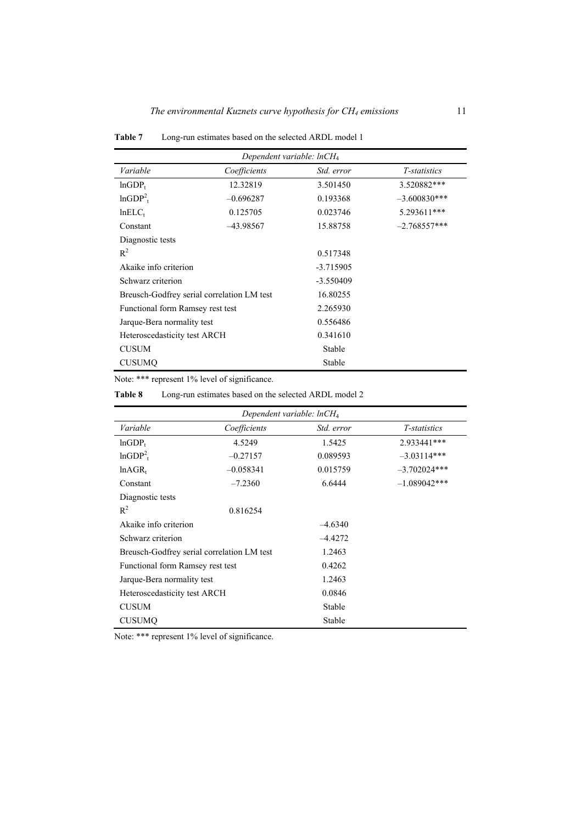| Dependent variable: $lnCH4$                |              |             |                      |  |  |
|--------------------------------------------|--------------|-------------|----------------------|--|--|
| Variable                                   | Coefficients | Std. error  | <i>T</i> -statistics |  |  |
| lnGDP <sub>t</sub>                         | 12.32819     | 3.501450    | 3.520882***          |  |  |
| lnGDP <sup>2</sup>                         | $-0.696287$  | 0.193368    | $-3.600830***$       |  |  |
| lnELC <sub>t</sub>                         | 0.125705     | 0.023746    | 5.293611***          |  |  |
| Constant                                   | -43.98567    | 15.88758    | $-2.768557***$       |  |  |
| Diagnostic tests                           |              |             |                      |  |  |
| $R^2$                                      |              | 0.517348    |                      |  |  |
| Akaike info criterion                      |              | $-3.715905$ |                      |  |  |
| Schwarz criterion                          |              | $-3.550409$ |                      |  |  |
| Breusch-Godfrey serial correlation LM test |              | 16.80255    |                      |  |  |
| Functional form Ramsey rest test           |              | 2.265930    |                      |  |  |
| Jarque-Bera normality test                 |              | 0.556486    |                      |  |  |
| Heteroscedasticity test ARCH               |              | 0.341610    |                      |  |  |
| <b>CUSUM</b>                               |              | Stable      |                      |  |  |
| <b>CUSUMQ</b>                              |              | Stable      |                      |  |  |

**Table 7** Long-run estimates based on the selected ARDL model 1

Note: \*\*\* represent 1% level of significance.

**Table 8** Long-run estimates based on the selected ARDL model 2

| Dependent variable: $lnCH4$                |              |            |                |  |  |
|--------------------------------------------|--------------|------------|----------------|--|--|
| Variable                                   | Coefficients | Std. error | T-statistics   |  |  |
| $lnGDP_t$                                  | 4.5249       | 1.5425     | 2.933441***    |  |  |
| lnGDP <sup>2</sup>                         | $-0.27157$   | 0.089593   | $-3.03114***$  |  |  |
| $lnAGR_t$                                  | $-0.058341$  | 0.015759   | $-3.702024***$ |  |  |
| Constant                                   | $-7.2360$    | 6.6444     | $-1.089042***$ |  |  |
| Diagnostic tests                           |              |            |                |  |  |
| $R^2$                                      | 0.816254     |            |                |  |  |
| Akaike info criterion                      |              | $-4.6340$  |                |  |  |
| Schwarz criterion                          |              | $-4.4272$  |                |  |  |
| Breusch-Godfrey serial correlation LM test |              | 1.2463     |                |  |  |
| Functional form Ramsey rest test           |              | 0.4262     |                |  |  |
| Jarque-Bera normality test                 |              | 1.2463     |                |  |  |
| Heteroscedasticity test ARCH               |              | 0.0846     |                |  |  |
| <b>CUSUM</b>                               |              | Stable     |                |  |  |
| <b>CUSUMQ</b>                              |              | Stable     |                |  |  |

Note: \*\*\* represent 1% level of significance.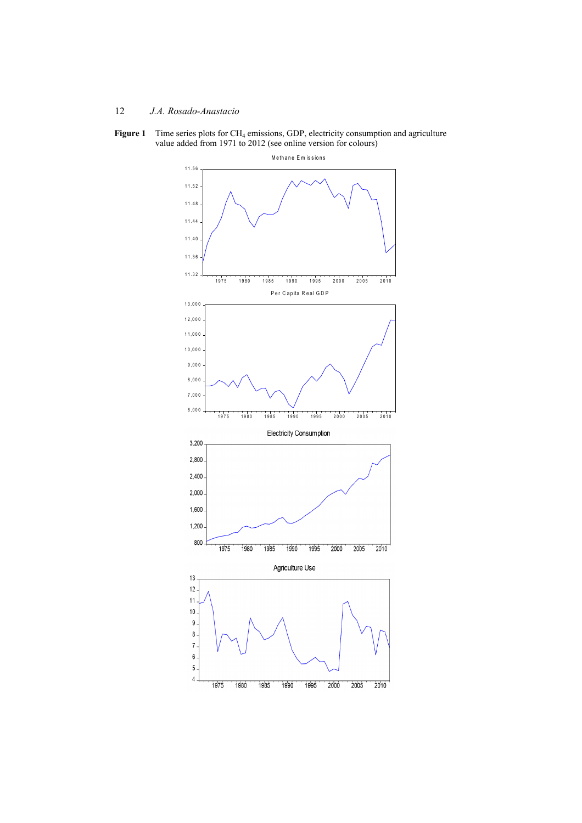

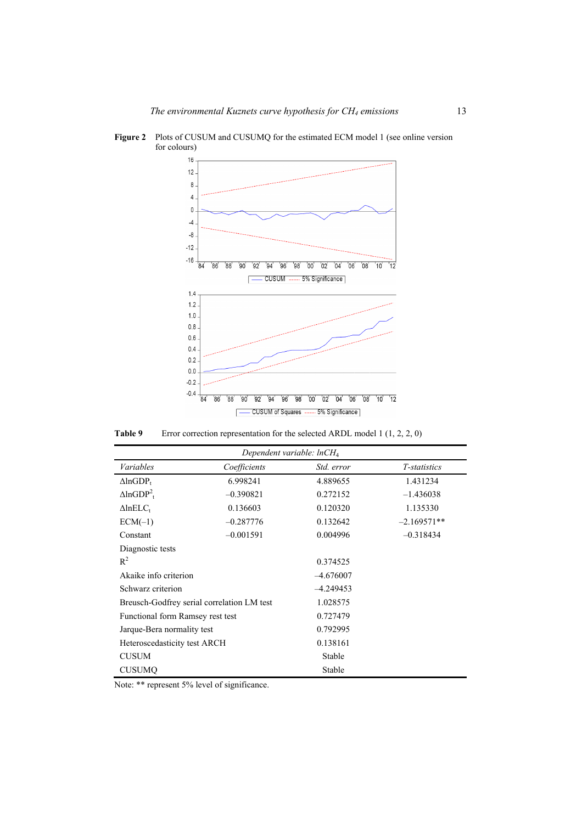

**Figure 2** Plots of CUSUM and CUSUMQ for the estimated ECM model 1 (see online version for colours)

Table 9 Error correction representation for the selected ARDL model 1 (1, 2, 2, 0)

| Dependent variable: $lnCH4$                |              |             |                      |  |  |
|--------------------------------------------|--------------|-------------|----------------------|--|--|
| <i>Variables</i>                           | Coefficients | Std. error  | <i>T</i> -statistics |  |  |
| $\Delta$ lnGDP <sub>t</sub>                | 6.998241     | 4.889655    | 1.431234             |  |  |
| $\Delta$ lnGDP <sup>2</sup> <sub>t</sub>   | $-0.390821$  | 0.272152    | $-1.436038$          |  |  |
| $\triangle$ InELC <sub>t</sub>             | 0.136603     | 0.120320    | 1.135330             |  |  |
| $ECM(-1)$                                  | $-0.287776$  | 0.132642    | $-2.169571**$        |  |  |
| Constant                                   | $-0.001591$  | 0.004996    | $-0.318434$          |  |  |
| Diagnostic tests                           |              |             |                      |  |  |
| $R^2$                                      |              | 0.374525    |                      |  |  |
| Akaike info criterion                      |              | $-4.676007$ |                      |  |  |
| Schwarz criterion                          |              | $-4.249453$ |                      |  |  |
| Breusch-Godfrey serial correlation LM test |              | 1.028575    |                      |  |  |
| Functional form Ramsey rest test           |              | 0.727479    |                      |  |  |
| Jarque-Bera normality test                 |              | 0.792995    |                      |  |  |
| Heteroscedasticity test ARCH               |              | 0.138161    |                      |  |  |
| <b>CUSUM</b>                               |              | Stable      |                      |  |  |
| <b>CUSUMQ</b>                              |              | Stable      |                      |  |  |

Note: \*\* represent 5% level of significance.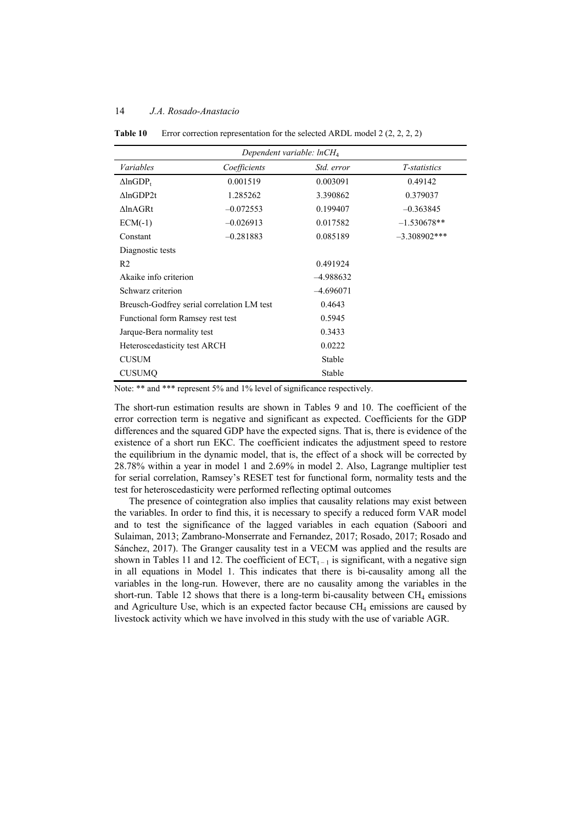| Dependent variable: $lnCH4$                |              |             |                      |  |  |
|--------------------------------------------|--------------|-------------|----------------------|--|--|
| <i>Variables</i>                           | Coefficients | Std. error  | <i>T</i> -statistics |  |  |
| $\Delta$ lnGDP <sub>t</sub>                | 0.001519     | 0.003091    | 0.49142              |  |  |
| $\Delta$ lnGDP2t                           | 1.285262     | 3.390862    | 0.379037             |  |  |
| $\Delta$ ln $\Delta$ GRt                   | $-0.072553$  | 0.199407    | $-0.363845$          |  |  |
| $ECM(-1)$                                  | $-0.026913$  | 0.017582    | $-1.530678**$        |  |  |
| Constant                                   | $-0.281883$  | 0.085189    | $-3.308902***$       |  |  |
| Diagnostic tests                           |              |             |                      |  |  |
| R <sub>2</sub>                             |              | 0.491924    |                      |  |  |
| Akaike info criterion                      |              | $-4.988632$ |                      |  |  |
| Schwarz criterion                          |              | $-4.696071$ |                      |  |  |
| Breusch-Godfrey serial correlation LM test |              | 0.4643      |                      |  |  |
| Functional form Ramsey rest test           |              | 0.5945      |                      |  |  |
| Jarque-Bera normality test                 |              | 0.3433      |                      |  |  |
| Heteroscedasticity test ARCH               |              | 0.0222      |                      |  |  |
| <b>CUSUM</b>                               |              | Stable      |                      |  |  |
| <b>CUSUMQ</b>                              |              | Stable      |                      |  |  |

**Table 10** Error correction representation for the selected ARDL model 2 (2, 2, 2, 2)

Note: \*\* and \*\*\* represent 5% and 1% level of significance respectively.

The short-run estimation results are shown in Tables 9 and 10. The coefficient of the error correction term is negative and significant as expected. Coefficients for the GDP differences and the squared GDP have the expected signs. That is, there is evidence of the existence of a short run EKC. The coefficient indicates the adjustment speed to restore the equilibrium in the dynamic model, that is, the effect of a shock will be corrected by 28.78% within a year in model 1 and 2.69% in model 2. Also, Lagrange multiplier test for serial correlation, Ramsey's RESET test for functional form, normality tests and the test for heteroscedasticity were performed reflecting optimal outcomes

The presence of cointegration also implies that causality relations may exist between the variables. In order to find this, it is necessary to specify a reduced form VAR model and to test the significance of the lagged variables in each equation (Saboori and Sulaiman, 2013; Zambrano-Monserrate and Fernandez, 2017; Rosado, 2017; Rosado and Sánchez, 2017). The Granger causality test in a VECM was applied and the results are shown in Tables 11 and 12. The coefficient of  $ECT_{t-1}$  is significant, with a negative sign in all equations in Model 1. This indicates that there is bi-causality among all the variables in the long-run. However, there are no causality among the variables in the short-run. Table 12 shows that there is a long-term bi-causality between  $CH_4$  emissions and Agriculture Use, which is an expected factor because  $CH<sub>4</sub>$  emissions are caused by livestock activity which we have involved in this study with the use of variable AGR.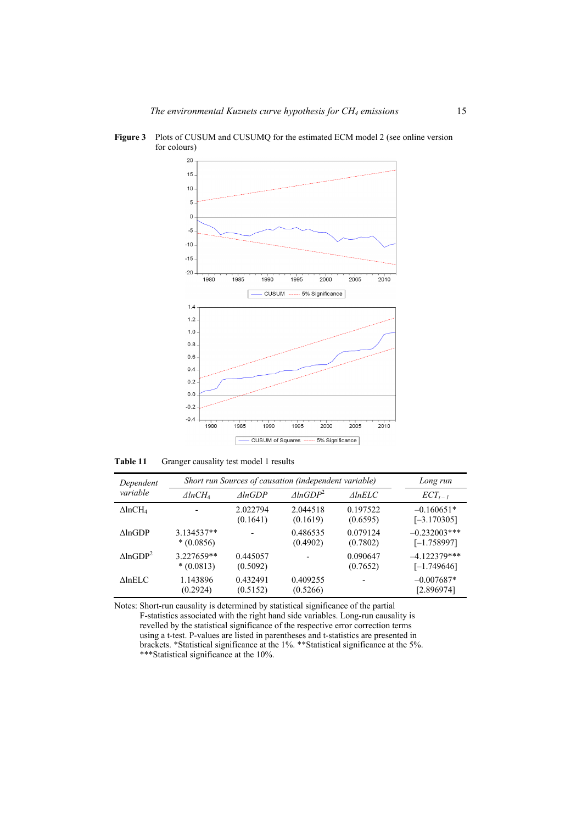

**Figure 3** Plots of CUSUM and CUSUMQ for the estimated ECM model 2 (see online version for colours)

Table 11 Granger causality test model 1 results

| Dependent                   | Short run Sources of causation (independent variable) |                      |                      |                      | Long run                        |
|-----------------------------|-------------------------------------------------------|----------------------|----------------------|----------------------|---------------------------------|
| variable                    | $\triangle InCH4$                                     | $\triangle$ lnGDP    | AlnGDP <sup>2</sup>  | AlnELC               | $ECT_{t-1}$                     |
| $\Delta$ lnCH <sub>4</sub>  |                                                       | 2.022794<br>(0.1641) | 2.044518<br>(0.1619) | 0.197522<br>(0.6595) | $-0.160651*$<br>$[-3.170305]$   |
| $\Delta$ lnGDP              | 3.134537**<br>$*(0.0856)$                             |                      | 0.486535<br>(0.4902) | 0.079124<br>(0.7802) | $-0.232003***$<br>$[-1.758997]$ |
| $\Delta$ lnGDP <sup>2</sup> | 3.227659**<br>$*(0.0813)$                             | 0.445057<br>(0.5092) |                      | 0.090647<br>(0.7652) | $-4.122379***$<br>$[-1.749646]$ |
| $\triangle$ InELC           | 1.143896<br>(0.2924)                                  | 0.432491<br>(0.5152) | 0.409255<br>(0.5266) |                      | $-0.007687*$<br>[2.896974]      |

Notes: Short-run causality is determined by statistical significance of the partial F-statistics associated with the right hand side variables. Long-run causality is revelled by the statistical significance of the respective error correction terms using a t-test. P-values are listed in parentheses and t-statistics are presented in brackets. \*Statistical significance at the 1%. \*\*Statistical significance at the 5%. \*\*\*Statistical significance at the 10%.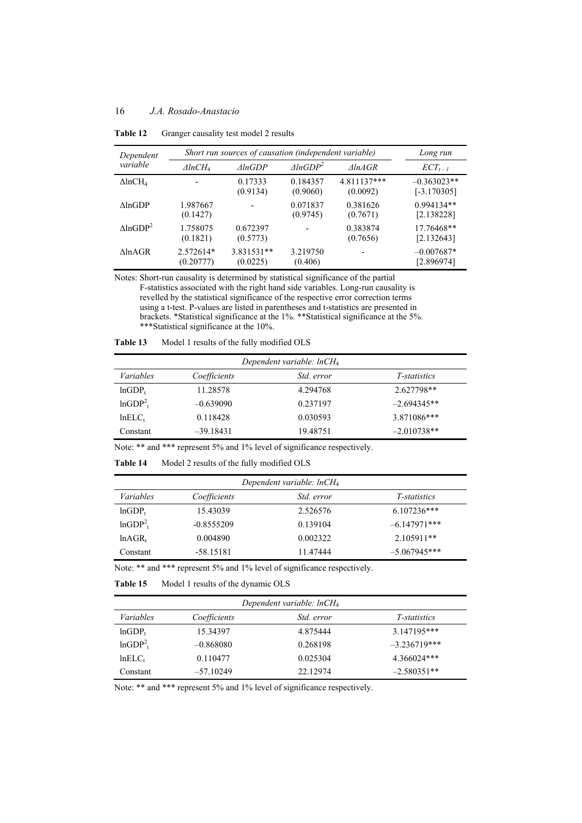| Dependent                   |                        | Short run sources of causation (independent variable) |                      |                         |                                |
|-----------------------------|------------------------|-------------------------------------------------------|----------------------|-------------------------|--------------------------------|
| variable                    | $\triangle InCH4$      | $\triangle$ lnGDP                                     | AlnGDP <sup>2</sup>  | AlnAGR                  | $ECT_{t-1}$                    |
| $\Delta$ lnCH <sub>4</sub>  |                        | 0.17333<br>(0.9134)                                   | 0.184357<br>(0.9060) | 4.811137***<br>(0.0092) | $-0.363023**$<br>$[-3.170305]$ |
| $\Delta$ lnGDP              | 1.987667<br>(0.1427)   |                                                       | 0.071837<br>(0.9745) | 0.381626<br>(0.7671)    | $0.994134**$<br>[2.138228]     |
| $\Delta$ lnGDP <sup>2</sup> | 1.758075<br>(0.1821)   | 0.672397<br>(0.5773)                                  |                      | 0.383874<br>(0.7656)    | 17.76468**<br>[2.132643]       |
| $\Delta$ ln $\Delta$ GR     | 2.572614*<br>(0.20777) | 3.831531**<br>(0.0225)                                | 3.219750<br>(0.406)  |                         | $-0.007687*$<br>[2.896974]     |

Table 12 Granger causality test model 2 results

Notes: Short-run causality is determined by statistical significance of the partial F-statistics associated with the right hand side variables. Long-run causality is revelled by the statistical significance of the respective error correction terms using a t-test. P-values are listed in parentheses and t-statistics are presented in brackets. \*Statistical significance at the 1%. \*\*Statistical significance at the 5%. \*\*\*Statistical significance at the 10%.

|  | Table 13 |  |  |  |  | Model 1 results of the fully modified OLS |  |
|--|----------|--|--|--|--|-------------------------------------------|--|
|--|----------|--|--|--|--|-------------------------------------------|--|

| Dependent variable: $lnCH4$ |              |                   |                      |  |
|-----------------------------|--------------|-------------------|----------------------|--|
| <i>Variables</i>            | Coefficients | <i>Std. error</i> | <i>T</i> -statistics |  |
| $lnGDP_t$                   | 11.28578     | 4.294768          | 2.627798**           |  |
| lnGDP <sup>2</sup>          | $-0.639090$  | 0.237197          | $-2.694345**$        |  |
| lnELC <sub>t</sub>          | 0.118428     | 0.030593          | 3.871086***          |  |
| Constant                    | $-39.18431$  | 19.48751          | $-2.010738**$        |  |

Note: \*\* and \*\*\* represent 5% and 1% level of significance respectively.

**Table 14** Model 2 results of the fully modified OLS

|                                 |              | Dependent variable: $lnCH4$ |                      |
|---------------------------------|--------------|-----------------------------|----------------------|
| <i>Variables</i>                | Coefficients | <i>Std. error</i>           | <i>T</i> -statistics |
| $lnGDP_t$                       | 15.43039     | 2.526576                    | $6.107236***$        |
| lnGDP <sup>2</sup> <sub>t</sub> | $-0.8555209$ | 0.139104                    | $-6.147971***$       |
| $lnAGR_t$                       | 0.004890     | 0.002322                    | $2.105911**$         |
| Constant                        | $-58.15181$  | 11.47444                    | $-5.067945***$       |

Note: \*\* and \*\*\* represent 5% and 1% level of significance respectively.

**Table 15** Model 1 results of the dynamic OLS

| Dependent variable: $lnCH4$ |              |                   |                      |  |
|-----------------------------|--------------|-------------------|----------------------|--|
| <i>Variables</i>            | Coefficients | <i>Std. error</i> | <i>T</i> -statistics |  |
| $lnGDP_t$                   | 15.34397     | 4.875444          | 3.147195***          |  |
| lnGDP <sup>2</sup>          | $-0.868080$  | 0.268198          | $-3.236719***$       |  |
| lnELC <sub>t</sub>          | 0.110477     | 0.025304          | 4.366024***          |  |
| Constant                    | $-57.10249$  | 22.12974          | $-2.580351**$        |  |

Note: \*\* and \*\*\* represent 5% and 1% level of significance respectively.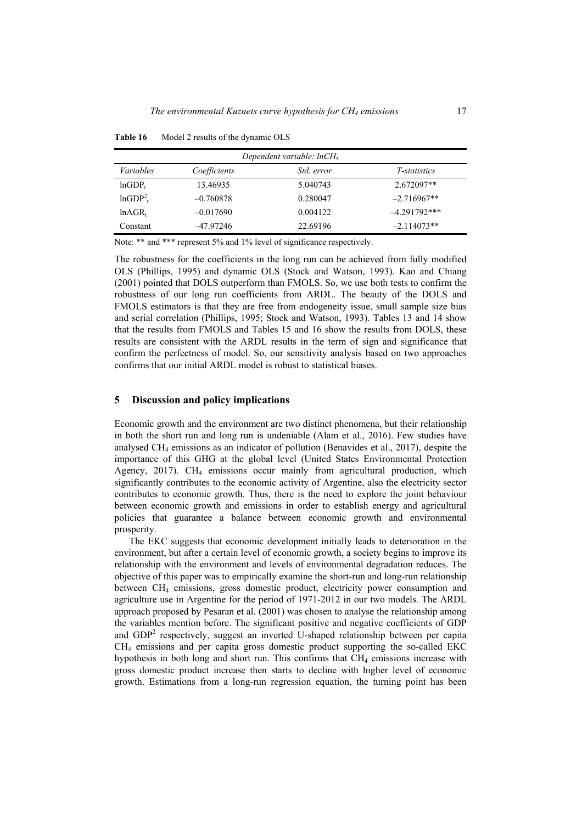| Dependent variable: $lnCH4$ |              |                   |                      |  |
|-----------------------------|--------------|-------------------|----------------------|--|
| <i>Variables</i>            | Coefficients | <i>Std. error</i> | <i>T</i> -statistics |  |
| $lnGDP_t$                   | 13.46935     | 5.040743          | $2.672097**$         |  |
| lnGDP <sup>2</sup>          | $-0.760878$  | 0.280047          | $-2.716967**$        |  |
| $lnAGR_t$                   | $-0.017690$  | 0.004122          | $-4.291792***$       |  |
| Constant                    | $-47.97246$  | 22.69196          | $-2.114073**$        |  |

**Table 16** Model 2 results of the dynamic OLS

Note: \*\* and \*\*\* represent 5% and 1% level of significance respectively.

The robustness for the coefficients in the long run can be achieved from fully modified OLS (Phillips, 1995) and dynamic OLS (Stock and Watson, 1993). Kao and Chiang (2001) pointed that DOLS outperform than FMOLS. So, we use both tests to confirm the robustness of our long run coefficients from ARDL. The beauty of the DOLS and FMOLS estimators is that they are free from endogeneity issue, small sample size bias and serial correlation (Phillips, 1995; Stock and Watson, 1993). Tables 13 and 14 show that the results from FMOLS and Tables 15 and 16 show the results from DOLS, these results are consistent with the ARDL results in the term of sign and significance that confirm the perfectness of model. So, our sensitivity analysis based on two approaches confirms that our initial ARDL model is robust to statistical biases.

#### **5 Discussion and policy implications**

Economic growth and the environment are two distinct phenomena, but their relationship in both the short run and long run is undeniable (Alam et al., 2016). Few studies have analysed CH4 emissions as an indicator of pollution (Benavides et al., 2017), despite the importance of this GHG at the global level (United States Environmental Protection Agency, 2017). CH<sub>4</sub> emissions occur mainly from agricultural production, which significantly contributes to the economic activity of Argentine, also the electricity sector contributes to economic growth. Thus, there is the need to explore the joint behaviour between economic growth and emissions in order to establish energy and agricultural policies that guarantee a balance between economic growth and environmental prosperity.

The EKC suggests that economic development initially leads to deterioration in the environment, but after a certain level of economic growth, a society begins to improve its relationship with the environment and levels of environmental degradation reduces. The objective of this paper was to empirically examine the short-run and long-run relationship between CH<sub>4</sub> emissions, gross domestic product, electricity power consumption and agriculture use in Argentine for the period of 1971-2012 in our two models. The ARDL approach proposed by Pesaran et al. (2001) was chosen to analyse the relationship among the variables mention before. The significant positive and negative coefficients of GDP and GDP<sup>2</sup> respectively, suggest an inverted U-shaped relationship between per capita CH4 emissions and per capita gross domestic product supporting the so-called EKC hypothesis in both long and short run. This confirms that  $CH<sub>4</sub>$  emissions increase with gross domestic product increase then starts to decline with higher level of economic growth. Estimations from a long-run regression equation, the turning point has been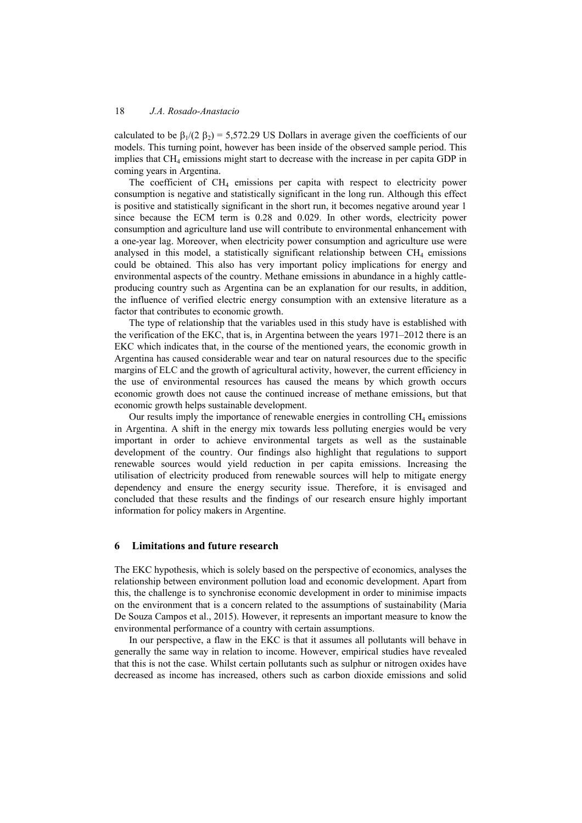calculated to be  $\beta_1/(2 \beta_2) = 5,572.29$  US Dollars in average given the coefficients of our models. This turning point, however has been inside of the observed sample period. This implies that CH4 emissions might start to decrease with the increase in per capita GDP in coming years in Argentina.

The coefficient of  $CH_4$  emissions per capita with respect to electricity power consumption is negative and statistically significant in the long run. Although this effect is positive and statistically significant in the short run, it becomes negative around year 1 since because the ECM term is 0.28 and 0.029. In other words, electricity power consumption and agriculture land use will contribute to environmental enhancement with a one-year lag. Moreover, when electricity power consumption and agriculture use were analysed in this model, a statistically significant relationship between  $CH_4$  emissions could be obtained. This also has very important policy implications for energy and environmental aspects of the country. Methane emissions in abundance in a highly cattleproducing country such as Argentina can be an explanation for our results, in addition, the influence of verified electric energy consumption with an extensive literature as a factor that contributes to economic growth.

The type of relationship that the variables used in this study have is established with the verification of the EKC, that is, in Argentina between the years 1971–2012 there is an EKC which indicates that, in the course of the mentioned years, the economic growth in Argentina has caused considerable wear and tear on natural resources due to the specific margins of ELC and the growth of agricultural activity, however, the current efficiency in the use of environmental resources has caused the means by which growth occurs economic growth does not cause the continued increase of methane emissions, but that economic growth helps sustainable development.

Our results imply the importance of renewable energies in controlling  $CH<sub>4</sub>$  emissions in Argentina. A shift in the energy mix towards less polluting energies would be very important in order to achieve environmental targets as well as the sustainable development of the country. Our findings also highlight that regulations to support renewable sources would yield reduction in per capita emissions. Increasing the utilisation of electricity produced from renewable sources will help to mitigate energy dependency and ensure the energy security issue. Therefore, it is envisaged and concluded that these results and the findings of our research ensure highly important information for policy makers in Argentine.

#### **6 Limitations and future research**

The EKC hypothesis, which is solely based on the perspective of economics, analyses the relationship between environment pollution load and economic development. Apart from this, the challenge is to synchronise economic development in order to minimise impacts on the environment that is a concern related to the assumptions of sustainability (Maria De Souza Campos et al., 2015). However, it represents an important measure to know the environmental performance of a country with certain assumptions.

In our perspective, a flaw in the EKC is that it assumes all pollutants will behave in generally the same way in relation to income. However, empirical studies have revealed that this is not the case. Whilst certain pollutants such as sulphur or nitrogen oxides have decreased as income has increased, others such as carbon dioxide emissions and solid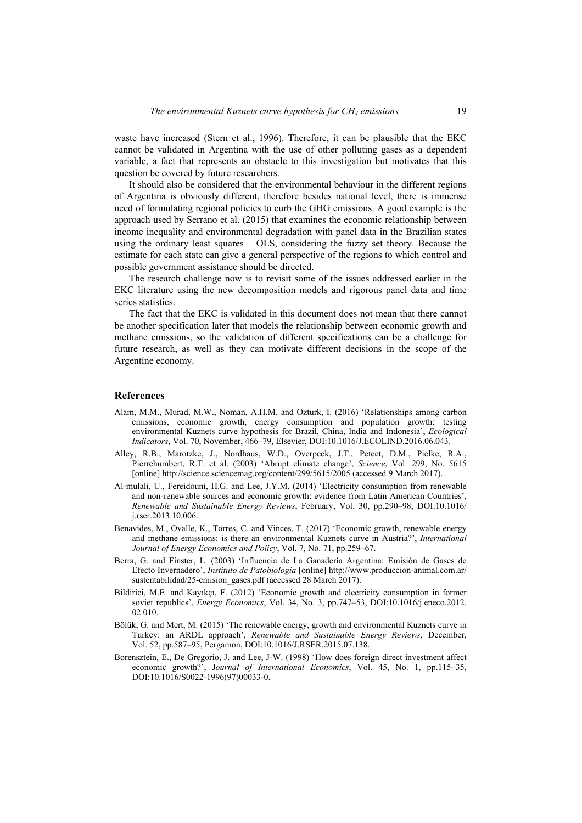waste have increased (Stern et al., 1996). Therefore, it can be plausible that the EKC cannot be validated in Argentina with the use of other polluting gases as a dependent variable, a fact that represents an obstacle to this investigation but motivates that this question be covered by future researchers.

It should also be considered that the environmental behaviour in the different regions of Argentina is obviously different, therefore besides national level, there is immense need of formulating regional policies to curb the GHG emissions. A good example is the approach used by Serrano et al. (2015) that examines the economic relationship between income inequality and environmental degradation with panel data in the Brazilian states using the ordinary least squares – OLS, considering the fuzzy set theory. Because the estimate for each state can give a general perspective of the regions to which control and possible government assistance should be directed.

The research challenge now is to revisit some of the issues addressed earlier in the EKC literature using the new decomposition models and rigorous panel data and time series statistics.

The fact that the EKC is validated in this document does not mean that there cannot be another specification later that models the relationship between economic growth and methane emissions, so the validation of different specifications can be a challenge for future research, as well as they can motivate different decisions in the scope of the Argentine economy.

### **References**

- Alam, M.M., Murad, M.W., Noman, A.H.M. and Ozturk, I. (2016) 'Relationships among carbon emissions, economic growth, energy consumption and population growth: testing environmental Kuznets curve hypothesis for Brazil, China, India and Indonesia', *Ecological Indicators*, Vol. 70, November, 466–79, Elsevier, DOI:10.1016/J.ECOLIND.2016.06.043.
- Alley, R.B., Marotzke, J., Nordhaus, W.D., Overpeck, J.T., Peteet, D.M., Pielke, R.A., Pierrehumbert, R.T. et al. (2003) 'Abrupt climate change', *Science*, Vol. 299, No. 5615 [online] http://science.sciencemag.org/content/299/5615/2005 (accessed 9 March 2017).
- Al-mulali, U., Fereidouni, H.G. and Lee, J.Y.M. (2014) 'Electricity consumption from renewable and non-renewable sources and economic growth: evidence from Latin American Countries', *Renewable and Sustainable Energy Reviews*, February, Vol. 30, pp.290–98, DOI:10.1016/ j.rser.2013.10.006.
- Benavides, M., Ovalle, K., Torres, C. and Vinces, T. (2017) 'Economic growth, renewable energy and methane emissions: is there an environmental Kuznets curve in Austria?', *International Journal of Energy Economics and Policy*, Vol. 7, No. 71, pp.259–67.
- Berra, G. and Finster, L. (2003) 'Influencia de La Ganadería Argentina: Emisión de Gases de Efecto Invernadero', *Instituto de Patobiología* [online] http://www.produccion-animal.com.ar/ sustentabilidad/25-emision\_gases.pdf (accessed 28 March 2017).
- Bildirici, M.E. and Kayıkçı, F. (2012) 'Economic growth and electricity consumption in former soviet republics', *Energy Economics*, Vol. 34, No. 3, pp.747–53, DOI:10.1016/j.eneco.2012. 02.010.
- Bölük, G. and Mert, M. (2015) 'The renewable energy, growth and environmental Kuznets curve in Turkey: an ARDL approach', *Renewable and Sustainable Energy Reviews*, December, Vol. 52, pp.587–95, Pergamon, DOI:10.1016/J.RSER.2015.07.138.
- Borensztein, E., De Gregorio, J. and Lee, J-W. (1998) 'How does foreign direct investment affect economic growth?', J*ournal of International Economics*, Vol. 45, No. 1, pp.115–35, DOI:10.1016/S0022-1996(97)00033-0.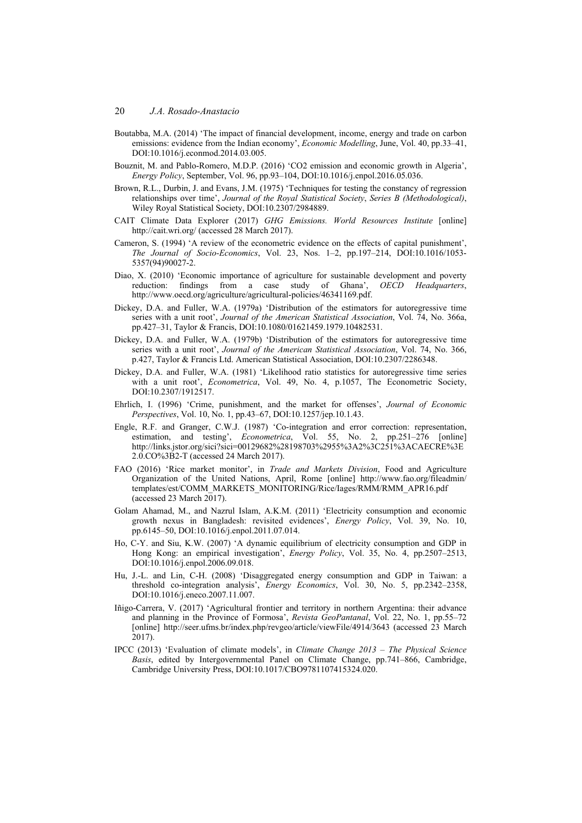- Boutabba, M.A. (2014) 'The impact of financial development, income, energy and trade on carbon emissions: evidence from the Indian economy', *Economic Modelling*, June, Vol. 40, pp.33–41, DOI:10.1016/j.econmod.2014.03.005.
- Bouznit, M. and Pablo-Romero, M.D.P. (2016) 'CO2 emission and economic growth in Algeria', *Energy Policy*, September, Vol. 96, pp.93–104, DOI:10.1016/j.enpol.2016.05.036.
- Brown, R.L., Durbin, J. and Evans, J.M. (1975) 'Techniques for testing the constancy of regression relationships over time', *Journal of the Royal Statistical Society*, *Series B (Methodological)*, Wiley Royal Statistical Society, DOI:10.2307/2984889.
- CAIT Climate Data Explorer (2017) *GHG Emissions. World Resources Institute* [online] http://cait.wri.org/ (accessed 28 March 2017).
- Cameron, S. (1994) 'A review of the econometric evidence on the effects of capital punishment', *The Journal of Socio-Economics*, Vol. 23, Nos. 1–2, pp.197–214, DOI:10.1016/1053- 5357(94)90027-2.
- Diao, X. (2010) 'Economic importance of agriculture for sustainable development and poverty reduction: findings from a case study of Ghana', *OECD Headquarters*, http://www.oecd.org/agriculture/agricultural-policies/46341169.pdf.
- Dickey, D.A. and Fuller, W.A. (1979a) 'Distribution of the estimators for autoregressive time series with a unit root', *Journal of the American Statistical Association*, Vol. 74, No. 366a, pp.427–31, Taylor & Francis, DOI:10.1080/01621459.1979.10482531.
- Dickey, D.A. and Fuller, W.A. (1979b) 'Distribution of the estimators for autoregressive time series with a unit root', *Journal of the American Statistical Association*, Vol. 74, No. 366, p.427, Taylor & Francis Ltd. American Statistical Association, DOI:10.2307/2286348.
- Dickey, D.A. and Fuller, W.A. (1981) 'Likelihood ratio statistics for autoregressive time series with a unit root', *Econometrica*, Vol. 49, No. 4, p.1057, The Econometric Society, DOI:10.2307/1912517.
- Ehrlich, I. (1996) 'Crime, punishment, and the market for offenses', *Journal of Economic Perspectives*, Vol. 10, No. 1, pp.43–67, DOI:10.1257/jep.10.1.43.
- Engle, R.F. and Granger, C.W.J. (1987) 'Co-integration and error correction: representation, estimation, and testing', *Econometrica*, Vol. 55, No. 2, pp.251–276 [online] http://links.jstor.org/sici?sici=00129682%28198703%2955%3A2%3C251%3ACAECRE%3E 2.0.CO%3B2-T (accessed 24 March 2017).
- FAO (2016) 'Rice market monitor', in *Trade and Markets Division*, Food and Agriculture Organization of the United Nations, April, Rome [online] http://www.fao.org/fileadmin/ templates/est/COMM\_MARKETS\_MONITORING/Rice/Iages/RMM/RMM\_APR16.pdf (accessed 23 March 2017).
- Golam Ahamad, M., and Nazrul Islam, A.K.M. (2011) 'Electricity consumption and economic growth nexus in Bangladesh: revisited evidences', *Energy Policy*, Vol. 39, No. 10, pp.6145–50, DOI:10.1016/j.enpol.2011.07.014.
- Ho, C-Y. and Siu, K.W. (2007) 'A dynamic equilibrium of electricity consumption and GDP in Hong Kong: an empirical investigation', *Energy Policy*, Vol. 35, No. 4, pp.2507–2513, DOI:10.1016/j.enpol.2006.09.018.
- Hu, J.-L. and Lin, C-H. (2008) 'Disaggregated energy consumption and GDP in Taiwan: a threshold co-integration analysis', *Energy Economics*, Vol. 30, No. 5, pp.2342–2358, DOI:10.1016/j.eneco.2007.11.007.
- Iñigo-Carrera, V. (2017) 'Agricultural frontier and territory in northern Argentina: their advance and planning in the Province of Formosa', *Revista GeoPantanal*, Vol. 22, No. 1, pp.55–72 [online] http://seer.ufms.br/index.php/revgeo/article/viewFile/4914/3643 (accessed 23 March 2017).
- IPCC (2013) 'Evaluation of climate models', in *Climate Change 2013 – The Physical Science Basis*, edited by Intergovernmental Panel on Climate Change, pp.741–866, Cambridge, Cambridge University Press, DOI:10.1017/CBO9781107415324.020.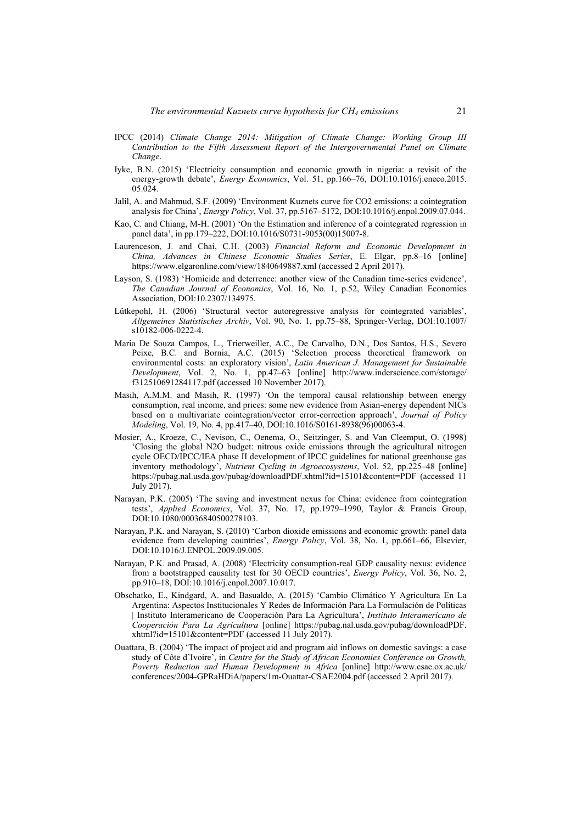- IPCC (2014) *Climate Change 2014: Mitigation of Climate Change: Working Group III Contribution to the Fifth Assessment Report of the Intergovernmental Panel on Climate Change*.
- Iyke, B.N. (2015) 'Electricity consumption and economic growth in nigeria: a revisit of the energy-growth debate', *Energy Economics*, Vol. 51, pp.166–76, DOI:10.1016/j.eneco.2015. 05.024.
- Jalil, A. and Mahmud, S.F. (2009) 'Environment Kuznets curve for CO2 emissions: a cointegration analysis for China', *Energy Policy*, Vol. 37, pp.5167–5172, DOI:10.1016/j.enpol.2009.07.044.
- Kao, C. and Chiang, M-H. (2001) 'On the Estimation and inference of a cointegrated regression in panel data', in pp.179–222, DOI:10.1016/S0731-9053(00)15007-8.
- Laurenceson, J. and Chai, C.H. (2003) *Financial Reform and Economic Development in China, Advances in Chinese Economic Studies Series*, E. Elgar, pp.8–16 [online] https://www.elgaronline.com/view/1840649887.xml (accessed 2 April 2017).
- Layson, S. (1983) 'Homicide and deterrence: another view of the Canadian time-series evidence', *The Canadian Journal of Economics*, Vol. 16, No. 1, p.52, Wiley Canadian Economics Association, DOI:10.2307/134975.
- Lütkepohl, H. (2006) 'Structural vector autoregressive analysis for cointegrated variables' *Allgemeines Statistisches Archiv*, Vol. 90, No. 1, pp.75–88, Springer-Verlag, DOI:10.1007/ s10182-006-0222-4.
- Maria De Souza Campos, L., Trierweiller, A.C., De Carvalho, D.N., Dos Santos, H.S., Severo Peixe, B.C. and Bornia, A.C. (2015) 'Selection process theoretical framework on environmental costs: an exploratory vision', *Latin American J. Management for Sustainable Development*, Vol. 2, No. 1, pp.47–63 [online] http://www.inderscience.com/storage/ f312510691284117.pdf (accessed 10 November 2017).
- Masih, A.M.M. and Masih, R. (1997) 'On the temporal causal relationship between energy consumption, real income, and prices: some new evidence from Asian-energy dependent NICs based on a multivariate cointegration/vector error-correction approach', *Journal of Policy Modeling*, Vol. 19, No. 4, pp.417–40, DOI:10.1016/S0161-8938(96)00063-4.
- Mosier, A., Kroeze, C., Nevison, C., Oenema, O., Seitzinger, S. and Van Cleemput, O. (1998) 'Closing the global N2O budget: nitrous oxide emissions through the agricultural nitrogen cycle OECD/IPCC/IEA phase II development of IPCC guidelines for national greenhouse gas inventory methodology', *Nutrient Cycling in Agroecosystems*, Vol. 52, pp.225–48 [online] https://pubag.nal.usda.gov/pubag/downloadPDF.xhtml?id=15101&content=PDF (accessed 11 July  $2017$ ).
- Narayan, P.K. (2005) 'The saving and investment nexus for China: evidence from cointegration tests', *Applied Economics*, Vol. 37, No. 17, pp.1979–1990, Taylor & Francis Group, DOI:10.1080/00036840500278103.
- Narayan, P.K. and Narayan, S. (2010) 'Carbon dioxide emissions and economic growth: panel data evidence from developing countries', *Energy Policy*, Vol. 38, No. 1, pp.661–66, Elsevier, DOI:10.1016/J.ENPOL.2009.09.005.
- Narayan, P.K. and Prasad, A. (2008) 'Electricity consumption-real GDP causality nexus: evidence from a bootstrapped causality test for 30 OECD countries', *Energy Policy*, Vol. 36, No. 2, pp.910–18, DOI:10.1016/j.enpol.2007.10.017.
- Obschatko, E., Kindgard, A. and Basualdo, A. (2015) 'Cambio Climático Y Agricultura En La Argentina: Aspectos Institucionales Y Redes de Información Para La Formulación de Políticas | Instituto Interamericano de Cooperación Para La Agricultura', *Instituto Interamericano de Cooperación Para La Agricultura* [online] https://pubag.nal.usda.gov/pubag/downloadPDF. xhtml?id=15101&content=PDF (accessed 11 July 2017).
- Ouattara, B. (2004) 'The impact of project aid and program aid inflows on domestic savings: a case study of Côte d'Ivoire', in *Centre for the Study of African Economies Conference on Growth, Poverty Reduction and Human Development in Africa* [online] http://www.csae.ox.ac.uk/ conferences/2004-GPRaHDiA/papers/1m-Ouattar-CSAE2004.pdf (accessed 2 April 2017).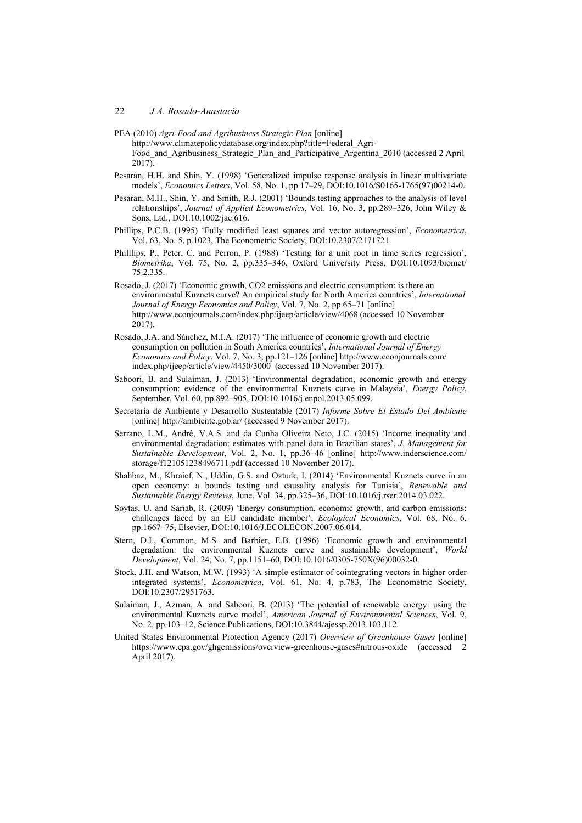- PEA (2010) *Agri-Food and Agribusiness Strategic Plan* [online] http://www.climatepolicydatabase.org/index.php?title=Federal\_Agri-Food\_and\_Agribusiness\_Strategic\_Plan\_and\_Participative\_Argentina\_2010 (accessed 2 April 2017).
- Pesaran, H.H. and Shin, Y. (1998) 'Generalized impulse response analysis in linear multivariate models', *Economics Letters*, Vol. 58, No. 1, pp.17–29, DOI:10.1016/S0165-1765(97)00214-0.
- Pesaran, M.H., Shin, Y. and Smith, R.J. (2001) 'Bounds testing approaches to the analysis of level relationships', *Journal of Applied Econometrics*, Vol. 16, No. 3, pp.289–326, John Wiley & Sons, Ltd., DOI:10.1002/jae.616.
- Phillips, P.C.B. (1995) 'Fully modified least squares and vector autoregression', *Econometrica*, Vol. 63, No. 5, p.1023, The Econometric Society, DOI:10.2307/2171721.
- Philllips, P., Peter, C. and Perron, P. (1988) 'Testing for a unit root in time series regression', *Biometrika*, Vol. 75, No. 2, pp.335–346, Oxford University Press, DOI:10.1093/biomet/ 75.2.335.
- Rosado, J. (2017) 'Economic growth, CO2 emissions and electric consumption: is there an environmental Kuznets curve? An empirical study for North America countries', *International Journal of Energy Economics and Policy*, Vol. 7, No. 2, pp.65–71 [online] http://www.econjournals.com/index.php/ijeep/article/view/4068 (accessed 10 November 2017).
- Rosado, J.A. and Sánchez, M.I.A. (2017) 'The influence of economic growth and electric consumption on pollution in South America countries', *International Journal of Energy Economics and Policy*, Vol. 7, No. 3, pp.121–126 [online] http://www.econjournals.com/ index.php/ijeep/article/view/4450/3000 (accessed 10 November 2017).
- Saboori, B. and Sulaiman, J. (2013) 'Environmental degradation, economic growth and energy consumption: evidence of the environmental Kuznets curve in Malaysia', *Energy Policy*, September, Vol. 60, pp.892–905, DOI:10.1016/j.enpol.2013.05.099.
- Secretaría de Ambiente y Desarrollo Sustentable (2017) *Informe Sobre El Estado Del Ambiente* [online] http://ambiente.gob.ar/ (accessed 9 November 2017).
- Serrano, L.M., André, V.A.S. and da Cunha Oliveira Neto, J.C. (2015) 'Income inequality and environmental degradation: estimates with panel data in Brazilian states', *J. Management for Sustainable Development*, Vol. 2, No. 1, pp.36–46 [online] http://www.inderscience.com/ storage/f121051238496711.pdf (accessed 10 November 2017).
- Shahbaz, M., Khraief, N., Uddin, G.S. and Ozturk, I. (2014) 'Environmental Kuznets curve in an open economy: a bounds testing and causality analysis for Tunisia', *Renewable and Sustainable Energy Reviews*, June, Vol. 34, pp.325–36, DOI:10.1016/j.rser.2014.03.022.
- Soytas, U. and Sariab, R. (2009) 'Energy consumption, economic growth, and carbon emissions: challenges faced by an EU candidate member', *Ecological Economics*, Vol. 68, No. 6, pp.1667–75, Elsevier, DOI:10.1016/J.ECOLECON.2007.06.014.
- Stern, D.I., Common, M.S. and Barbier, E.B. (1996) 'Economic growth and environmental degradation: the environmental Kuznets curve and sustainable development', *World Development*, Vol. 24, No. 7, pp.1151–60, DOI:10.1016/0305-750X(96)00032-0.
- Stock, J.H. and Watson, M.W. (1993) 'A simple estimator of cointegrating vectors in higher order integrated systems', *Econometrica*, Vol. 61, No. 4, p.783, The Econometric Society, DOI:10.2307/2951763.
- Sulaiman, J., Azman, A. and Saboori, B. (2013) 'The potential of renewable energy: using the environmental Kuznets curve model', *American Journal of Environmental Sciences*, Vol. 9, No. 2, pp.103–12, Science Publications, DOI:10.3844/ajessp.2013.103.112.
- United States Environmental Protection Agency (2017) *Overview of Greenhouse Gases* [online] https://www.epa.gov/ghgemissions/overview-greenhouse-gases#nitrous-oxide (accessed 2 April 2017).